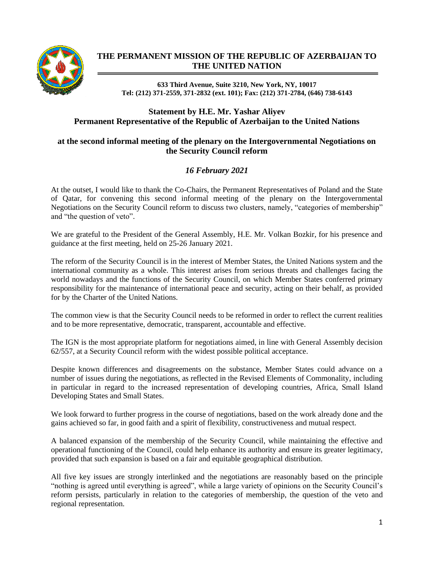

## **THE PERMANENT MISSION OF THE REPUBLIC OF AZERBAIJAN TO THE UNITED NATION**

**633 Third Avenue, Suite 3210, New York, NY, 10017 Tel: (212) 371-2559, 371-2832 (ext. 101); Fax: (212) 371-2784, (646) 738-6143**

## **Statement by H.E. Mr. Yashar Aliyev Permanent Representative of the Republic of Azerbaijan to the United Nations**

## **at the second informal meeting of the plenary on the Intergovernmental Negotiations on the Security Council reform**

## *16 February 2021*

At the outset, I would like to thank the Co-Chairs, the Permanent Representatives of Poland and the State of Qatar, for convening this second informal meeting of the plenary on the Intergovernmental Negotiations on the Security Council reform to discuss two clusters, namely, "categories of membership" and "the question of veto".

We are grateful to the President of the General Assembly, H.E. Mr. Volkan Bozkir, for his presence and guidance at the first meeting, held on 25-26 January 2021.

The reform of the Security Council is in the interest of Member States, the United Nations system and the international community as a whole. This interest arises from serious threats and challenges facing the world nowadays and the functions of the Security Council, on which Member States conferred primary responsibility for the maintenance of international peace and security, acting on their behalf, as provided for by the Charter of the United Nations.

The common view is that the Security Council needs to be reformed in order to reflect the current realities and to be more representative, democratic, transparent, accountable and effective.

The IGN is the most appropriate platform for negotiations aimed, in line with General Assembly decision 62/557, at a Security Council reform with the widest possible political acceptance.

Despite known differences and disagreements on the substance, Member States could advance on a number of issues during the negotiations, as reflected in the Revised Elements of Commonality, including in particular in regard to the increased representation of developing countries, Africa, Small Island Developing States and Small States.

We look forward to further progress in the course of negotiations, based on the work already done and the gains achieved so far, in good faith and a spirit of flexibility, constructiveness and mutual respect.

A balanced expansion of the membership of the Security Council, while maintaining the effective and operational functioning of the Council, could help enhance its authority and ensure its greater legitimacy, provided that such expansion is based on a fair and equitable geographical distribution.

All five key issues are strongly interlinked and the negotiations are reasonably based on the principle "nothing is agreed until everything is agreed", while a large variety of opinions on the Security Council's reform persists, particularly in relation to the categories of membership, the question of the veto and regional representation.